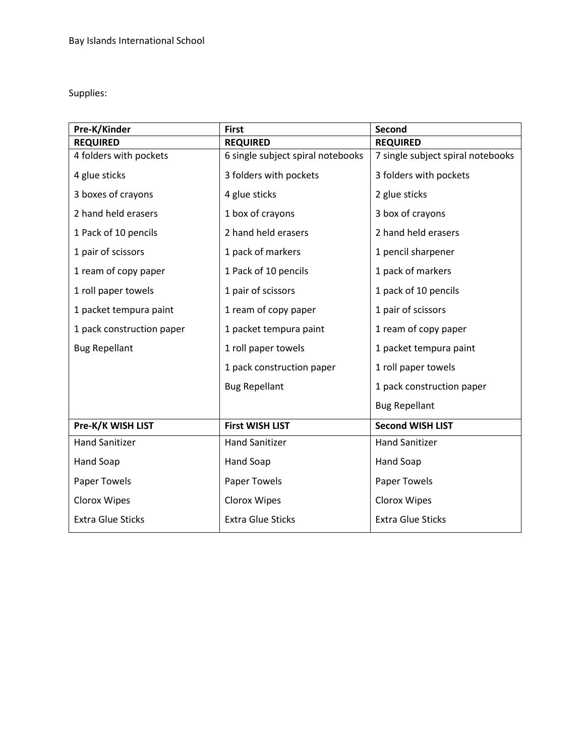Supplies:

| Pre-K/Kinder              | <b>First</b>                      | <b>Second</b>                     |
|---------------------------|-----------------------------------|-----------------------------------|
| <b>REQUIRED</b>           | <b>REQUIRED</b>                   | <b>REQUIRED</b>                   |
| 4 folders with pockets    | 6 single subject spiral notebooks | 7 single subject spiral notebooks |
| 4 glue sticks             | 3 folders with pockets            | 3 folders with pockets            |
| 3 boxes of crayons        | 4 glue sticks                     | 2 glue sticks                     |
| 2 hand held erasers       | 1 box of crayons                  | 3 box of crayons                  |
| 1 Pack of 10 pencils      | 2 hand held erasers               | 2 hand held erasers               |
| 1 pair of scissors        | 1 pack of markers                 | 1 pencil sharpener                |
| 1 ream of copy paper      | 1 Pack of 10 pencils              | 1 pack of markers                 |
| 1 roll paper towels       | 1 pair of scissors                | 1 pack of 10 pencils              |
| 1 packet tempura paint    | 1 ream of copy paper              | 1 pair of scissors                |
| 1 pack construction paper | 1 packet tempura paint            | 1 ream of copy paper              |
| <b>Bug Repellant</b>      | 1 roll paper towels               | 1 packet tempura paint            |
|                           | 1 pack construction paper         | 1 roll paper towels               |
|                           | <b>Bug Repellant</b>              | 1 pack construction paper         |
|                           |                                   | <b>Bug Repellant</b>              |
| Pre-K/K WISH LIST         | <b>First WISH LIST</b>            | <b>Second WISH LIST</b>           |
| <b>Hand Sanitizer</b>     | <b>Hand Sanitizer</b>             | <b>Hand Sanitizer</b>             |
| Hand Soap                 | Hand Soap                         | Hand Soap                         |
| Paper Towels              | Paper Towels                      | Paper Towels                      |
| Clorox Wipes              | Clorox Wipes                      | Clorox Wipes                      |
| <b>Extra Glue Sticks</b>  | <b>Extra Glue Sticks</b>          | <b>Extra Glue Sticks</b>          |